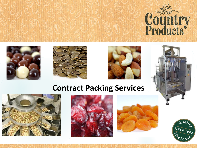







# **Contract Packing Services**







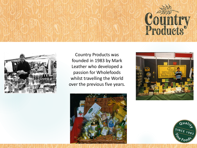



Country Products was founded in 1983 by Mark Leather who developed a passion for Wholefoods whilst travelling the World over the previous five years.





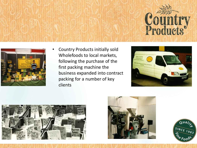



• Country Products initially sold Wholefoods to local markets, following the purchase of the first packing machine the business expanded into contract packing for a number of key clients







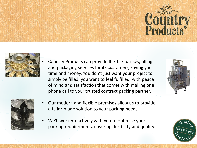



• Country Products can provide flexible turnkey, filling and packaging services for its customers, saving you time and money. You don't just want your project to simply be filled, you want to feel fulfilled, with peace of mind and satisfaction that comes with making one phone call to your trusted contract packing partner.



- Our modern and flexible premises allow us to provide a tailor-made solution to your packing needs.
- We'll work proactively with you to optimise your packing requirements, ensuring flexibility and quality.



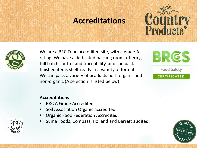# **Accreditations**





We are a BRC Food accredited site, with a grade A rating. We have a dedicated packing room, offering full batch control and traceability, and can pack finished items shelf-ready in a variety of formats. We can pack a variety of products both organic and non-organic (A selection is listed below)



Food Safety

**CERTIFICATED** 

## **Accreditations**

- BRC A Grade Accredited
- Soil Association Organic accredited
- Organic Food Federation Accredited.
- Suma Foods, Compass, Holland and Barrett audited.



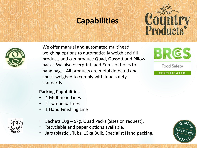# **Capabilities**





We offer manual and automated multihead weighing options to automatically weigh and fill product, and can produce Quad, Gussett and Pillow packs. We also overprint, add Euroslot holes to hang bags. All products are metal detected and check-weighed to comply with food safety standards.



Food Safety

### **CERTIFICATED**

## **Packing Capabilities**

- 4 Multihead Lines
- 2 Twinhead Lines
- 1 Hand Finishing Line
- Sachets 10g 5kg, Quad Packs (Sizes on request),
- Recyclable and paper options available.
- Jars (plastic), Tubs, 15kg Bulk, Specialist Hand packing.



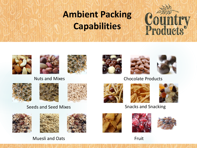# **Ambient Packing Capabilities**















## Nuts and Mixes **Chocolate Products**





## Seeds and Seed Mixes







Muesli and Oats Fruit







## Snacks and Snacking